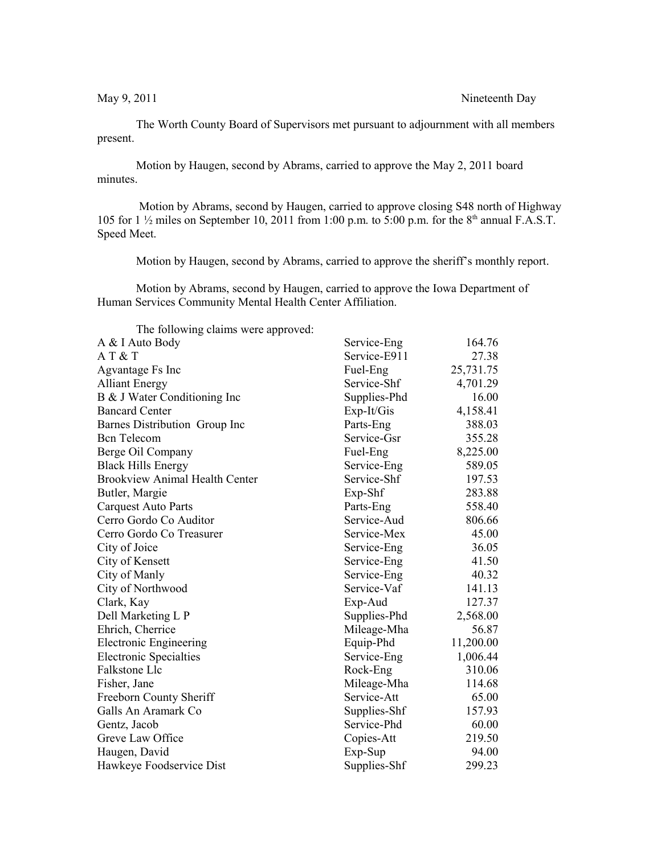## May 9, 2011 Nineteenth Day

The Worth County Board of Supervisors met pursuant to adjournment with all members present.

Motion by Haugen, second by Abrams, carried to approve the May 2, 2011 board minutes.

 Motion by Abrams, second by Haugen, carried to approve closing S48 north of Highway 105 for 1  $\frac{1}{2}$  miles on September 10, 2011 from 1:00 p.m. to 5:00 p.m. for the 8<sup>th</sup> annual F.A.S.T. Speed Meet.

Motion by Haugen, second by Abrams, carried to approve the sheriff's monthly report.

Motion by Abrams, second by Haugen, carried to approve the Iowa Department of Human Services Community Mental Health Center Affiliation.

The following claims were approved:

| A & I Auto Body                       | Service-Eng  | 164.76    |
|---------------------------------------|--------------|-----------|
| AT & T                                | Service-E911 | 27.38     |
| Agvantage Fs Inc                      | Fuel-Eng     | 25,731.75 |
| <b>Alliant Energy</b>                 | Service-Shf  | 4,701.29  |
| B & J Water Conditioning Inc          | Supplies-Phd | 16.00     |
| <b>Bancard Center</b>                 | $Exp-It/Gis$ | 4,158.41  |
| Barnes Distribution Group Inc         | Parts-Eng    | 388.03    |
| <b>Bcn</b> Telecom                    | Service-Gsr  | 355.28    |
| Berge Oil Company                     | Fuel-Eng     | 8,225.00  |
| <b>Black Hills Energy</b>             | Service-Eng  | 589.05    |
| <b>Brookview Animal Health Center</b> | Service-Shf  | 197.53    |
| Butler, Margie                        | Exp-Shf      | 283.88    |
| <b>Carquest Auto Parts</b>            | Parts-Eng    | 558.40    |
| Cerro Gordo Co Auditor                | Service-Aud  | 806.66    |
| Cerro Gordo Co Treasurer              | Service-Mex  | 45.00     |
| City of Joice                         | Service-Eng  | 36.05     |
| City of Kensett                       | Service-Eng  | 41.50     |
| City of Manly                         | Service-Eng  | 40.32     |
| City of Northwood                     | Service-Vaf  | 141.13    |
| Clark, Kay                            | Exp-Aud      | 127.37    |
| Dell Marketing L P                    | Supplies-Phd | 2,568.00  |
| Ehrich, Cherrice                      | Mileage-Mha  | 56.87     |
| <b>Electronic Engineering</b>         | Equip-Phd    | 11,200.00 |
| <b>Electronic Specialties</b>         | Service-Eng  | 1,006.44  |
| Falkstone Llc                         | Rock-Eng     | 310.06    |
| Fisher, Jane                          | Mileage-Mha  | 114.68    |
| Freeborn County Sheriff               | Service-Att  | 65.00     |
| Galls An Aramark Co                   | Supplies-Shf | 157.93    |
| Gentz, Jacob                          | Service-Phd  | 60.00     |
| Greve Law Office                      | Copies-Att   | 219.50    |
| Haugen, David                         | Exp-Sup      | 94.00     |
| Hawkeye Foodservice Dist              | Supplies-Shf | 299.23    |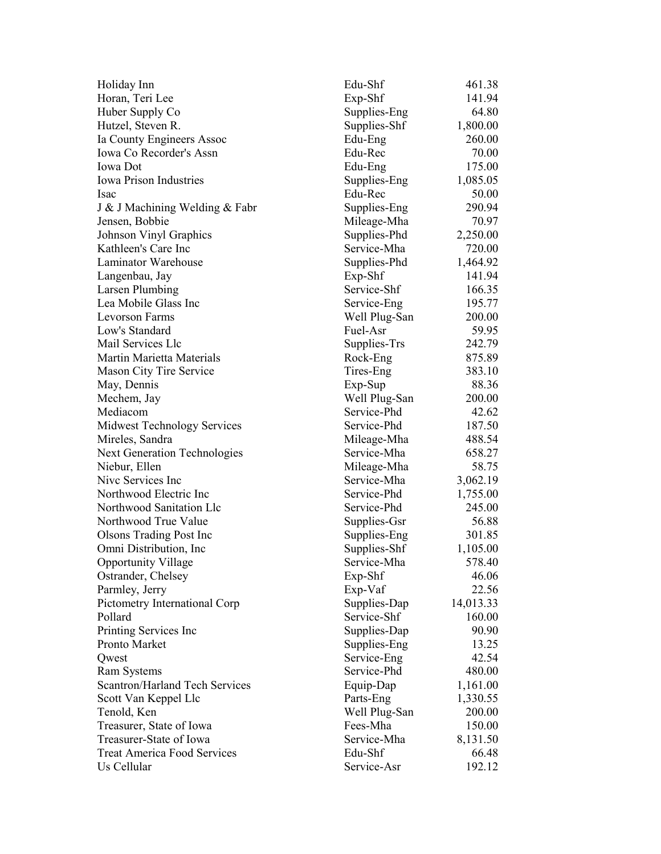| Holiday Inn                           | Edu-Shf       | 461.38    |
|---------------------------------------|---------------|-----------|
| Horan, Teri Lee                       | Exp-Shf       | 141.94    |
| Huber Supply Co                       | Supplies-Eng  | 64.80     |
| Hutzel, Steven R.                     | Supplies-Shf  | 1,800.00  |
| Ia County Engineers Assoc             | Edu-Eng       | 260.00    |
| Iowa Co Recorder's Assn               | Edu-Rec       | 70.00     |
| <b>Iowa</b> Dot                       | Edu-Eng       | 175.00    |
| <b>Iowa Prison Industries</b>         | Supplies-Eng  | 1,085.05  |
| Isac                                  | Edu-Rec       | 50.00     |
| J & J Machining Welding & Fabr        | Supplies-Eng  | 290.94    |
| Jensen, Bobbie                        | Mileage-Mha   | 70.97     |
| Johnson Vinyl Graphics                | Supplies-Phd  | 2,250.00  |
| Kathleen's Care Inc                   | Service-Mha   | 720.00    |
| Laminator Warehouse                   | Supplies-Phd  | 1,464.92  |
| Langenbau, Jay                        | $Exp-Shf$     | 141.94    |
| Larsen Plumbing                       | Service-Shf   | 166.35    |
| Lea Mobile Glass Inc                  | Service-Eng   | 195.77    |
| Levorson Farms                        | Well Plug-San | 200.00    |
| Low's Standard                        | Fuel-Asr      | 59.95     |
| Mail Services Llc                     | Supplies-Trs  | 242.79    |
| Martin Marietta Materials             | Rock-Eng      | 875.89    |
| Mason City Tire Service               | Tires-Eng     | 383.10    |
| May, Dennis                           | $Exp-Sup$     | 88.36     |
| Mechem, Jay                           | Well Plug-San | 200.00    |
| Mediacom                              | Service-Phd   | 42.62     |
| <b>Midwest Technology Services</b>    | Service-Phd   | 187.50    |
| Mireles, Sandra                       | Mileage-Mha   | 488.54    |
| <b>Next Generation Technologies</b>   | Service-Mha   | 658.27    |
| Niebur, Ellen                         | Mileage-Mha   | 58.75     |
| Nive Services Inc                     | Service-Mha   | 3,062.19  |
| Northwood Electric Inc                | Service-Phd   | 1,755.00  |
| Northwood Sanitation Llc              | Service-Phd   | 245.00    |
| Northwood True Value                  | Supplies-Gsr  | 56.88     |
| <b>Olsons Trading Post Inc.</b>       | Supplies-Eng  | 301.85    |
| Omni Distribution, Inc.               | Supplies-Shf  | 1,105.00  |
| <b>Opportunity Village</b>            | Service-Mha   | 578.40    |
| Ostrander, Chelsey                    | Exp-Shf       | 46.06     |
| Parmley, Jerry                        | Exp-Vaf       | 22.56     |
| Pictometry International Corp         | Supplies-Dap  | 14,013.33 |
| Pollard                               | Service-Shf   | 160.00    |
| Printing Services Inc                 | Supplies-Dap  | 90.90     |
| <b>Pronto Market</b>                  | Supplies-Eng  | 13.25     |
| Qwest                                 | Service-Eng   | 42.54     |
| <b>Ram Systems</b>                    | Service-Phd   | 480.00    |
| <b>Scantron/Harland Tech Services</b> | Equip-Dap     | 1,161.00  |
| Scott Van Keppel Llc                  | Parts-Eng     | 1,330.55  |
| Tenold, Ken                           | Well Plug-San | 200.00    |
| Treasurer, State of Iowa              | Fees-Mha      | 150.00    |
| Treasurer-State of Iowa               | Service-Mha   | 8,131.50  |
| <b>Treat America Food Services</b>    | Edu-Shf       | 66.48     |
| Us Cellular                           | Service-Asr   | 192.12    |
|                                       |               |           |